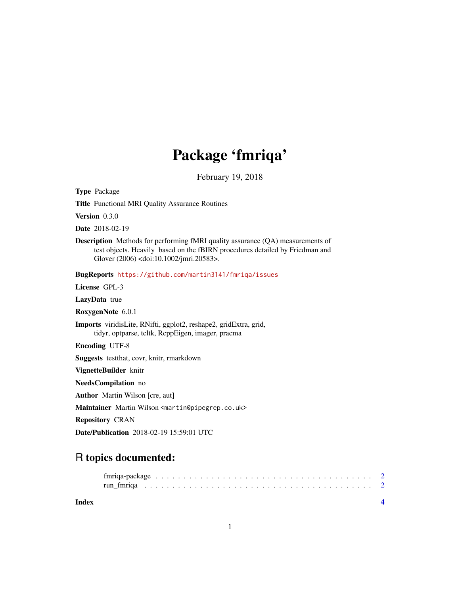# Package 'fmriqa'

February 19, 2018

Type Package

Title Functional MRI Quality Assurance Routines

Version 0.3.0

Date 2018-02-19

Description Methods for performing fMRI quality assurance (QA) measurements of test objects. Heavily based on the fBIRN procedures detailed by Friedman and Glover (2006) <doi:10.1002/jmri.20583>.

BugReports <https://github.com/martin3141/fmriqa/issues>

License GPL-3

LazyData true

RoxygenNote 6.0.1

Imports viridisLite, RNifti, ggplot2, reshape2, gridExtra, grid, tidyr, optparse, tcltk, RcppEigen, imager, pracma

Encoding UTF-8

Suggests testthat, covr, knitr, rmarkdown

VignetteBuilder knitr

NeedsCompilation no

Author Martin Wilson [cre, aut]

Maintainer Martin Wilson <martin@pipegrep.co.uk>

Repository CRAN

Date/Publication 2018-02-19 15:59:01 UTC

# R topics documented:

**Index** [4](#page-3-0)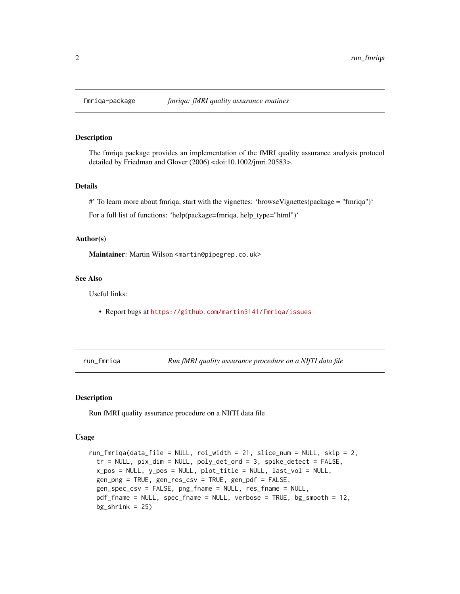#### Description

The fmriqa package provides an implementation of the fMRI quality assurance analysis protocol detailed by Friedman and Glover (2006) <doi:10.1002/jmri.20583>.

#### Details

#' To learn more about fmriqa, start with the vignettes: 'browseVignettes(package = "fmriqa")'

For a full list of functions: 'help(package=fmriqa, help\_type="html")'

#### Author(s)

Maintainer: Martin Wilson <martin@pipegrep.co.uk>

#### See Also

Useful links:

• Report bugs at <https://github.com/martin3141/fmriqa/issues>

run\_fmriqa *Run fMRI quality assurance procedure on a NIfTI data file*

#### Description

Run fMRI quality assurance procedure on a NIfTI data file

#### Usage

```
run_fmriqa(data_file = NULL, roi_width = 21, slice_num = NULL, skip = 2,
  tr = NULL, pix_dim = NULL, poly_det_ord = 3, spike_detect = FALSE,
  x_pos = NULL, y_pos = NULL, plot_title = NULL, last_vol = NULL,
  gen_png = TRUE, gen_res_csv = TRUE, gen_pdf = FALSE,
  gen_spec_csv = FALSE, png_fname = NULL, res_fname = NULL,
 pdf_fname = NULL, spec_fname = NULL, verbose = TRUE, bg_smooth = 12,
 bg_{shrink} = 25)
```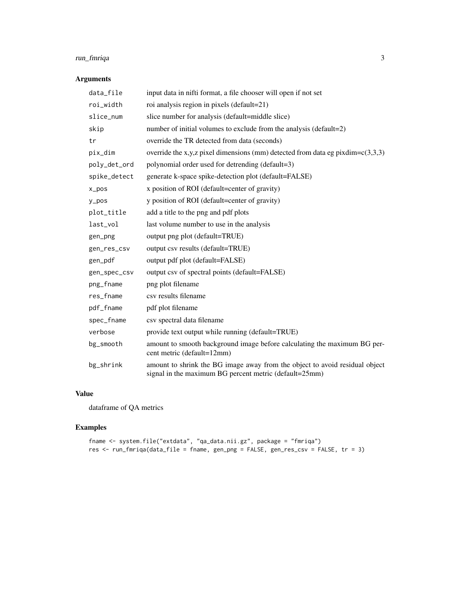### run\_fmriqa 3

#### Arguments

| data_file    | input data in nifti format, a file chooser will open if not set                                                                       |
|--------------|---------------------------------------------------------------------------------------------------------------------------------------|
| roi_width    | roi analysis region in pixels (default=21)                                                                                            |
| slice_num    | slice number for analysis (default=middle slice)                                                                                      |
| skip         | number of initial volumes to exclude from the analysis (default=2)                                                                    |
| tr           | override the TR detected from data (seconds)                                                                                          |
| pix_dim      | override the x,y,z pixel dimensions (mm) detected from data eg pixdim= $c(3,3,3)$                                                     |
| poly_det_ord | polynomial order used for detrending (default=3)                                                                                      |
| spike_detect | generate k-space spike-detection plot (default=FALSE)                                                                                 |
| $x_{pos}$    | x position of ROI (default=center of gravity)                                                                                         |
| $y_p$ os     | y position of ROI (default=center of gravity)                                                                                         |
| plot_title   | add a title to the png and pdf plots                                                                                                  |
| last_vol     | last volume number to use in the analysis                                                                                             |
| gen_png      | output png plot (default=TRUE)                                                                                                        |
| gen_res_csv  | output csv results (default=TRUE)                                                                                                     |
| gen_pdf      | output pdf plot (default=FALSE)                                                                                                       |
| gen_spec_csv | output csv of spectral points (default=FALSE)                                                                                         |
| png_fname    | png plot filename                                                                                                                     |
| res_fname    | csv results filename                                                                                                                  |
| pdf_fname    | pdf plot filename                                                                                                                     |
| spec_fname   | csv spectral data filename                                                                                                            |
| verbose      | provide text output while running (default=TRUE)                                                                                      |
| bg_smooth    | amount to smooth background image before calculating the maximum BG per-<br>cent metric (default=12mm)                                |
| bg_shrink    | amount to shrink the BG image away from the object to avoid residual object<br>signal in the maximum BG percent metric (default=25mm) |

#### Value

dataframe of QA metrics

## Examples

```
fname <- system.file("extdata", "qa_data.nii.gz", package = "fmriqa")
res <- run_fmriqa(data_file = fname, gen_png = FALSE, gen_res_csv = FALSE, tr = 3)
```